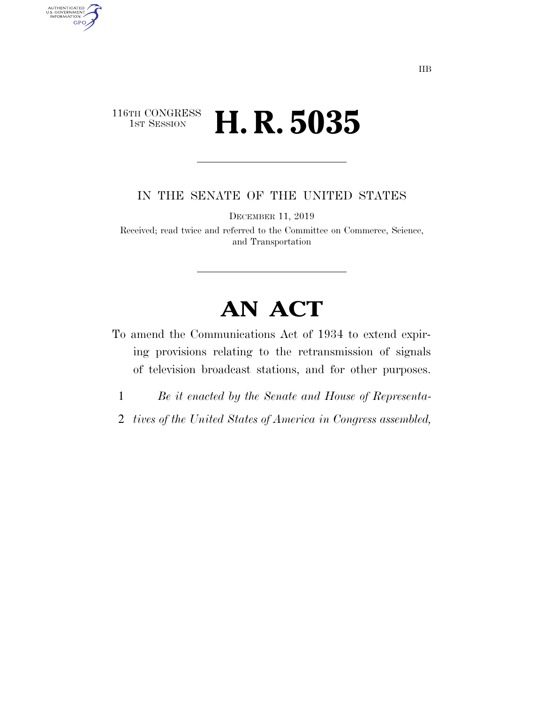## 116TH CONGRESS<br>1st Session H. R. 5035

AUTHENTICATED<br>U.S. GOVERNMENT<br>INFORMATION GPO

IN THE SENATE OF THE UNITED STATES

DECEMBER 11, 2019

Received; read twice and referred to the Committee on Commerce, Science, and Transportation

## **AN ACT**

- To amend the Communications Act of 1934 to extend expiring provisions relating to the retransmission of signals of television broadcast stations, and for other purposes.
	- 1 *Be it enacted by the Senate and House of Representa-*
- 2 *tives of the United States of America in Congress assembled,*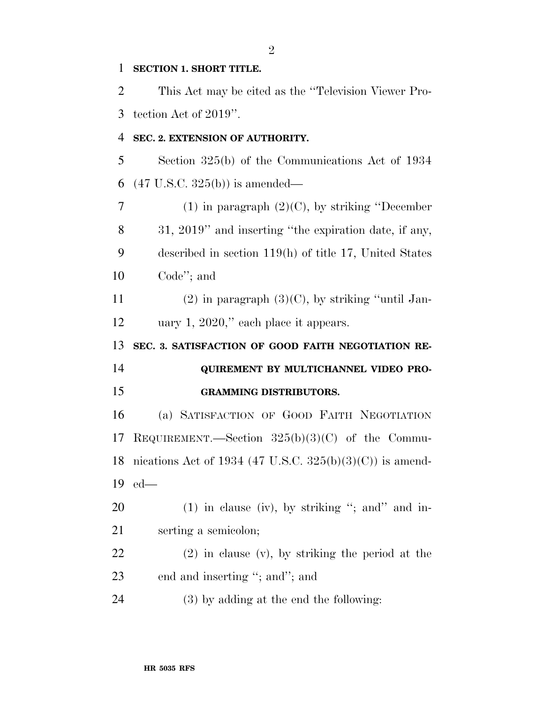## **SECTION 1. SHORT TITLE.**

 This Act may be cited as the ''Television Viewer Pro-tection Act of 2019''.

## **SEC. 2. EXTENSION OF AUTHORITY.**

 Section 325(b) of the Communications Act of 1934 (47 U.S.C. 325(b)) is amended—

 (1) in paragraph (2)(C), by striking ''December 31, 2019'' and inserting ''the expiration date, if any, described in section 119(h) of title 17, United States Code''; and

11 (2) in paragraph  $(3)(C)$ , by striking "until Jan-uary 1, 2020,'' each place it appears.

**SEC. 3. SATISFACTION OF GOOD FAITH NEGOTIATION RE-**

 **QUIREMENT BY MULTICHANNEL VIDEO PRO-GRAMMING DISTRIBUTORS.** 

 (a) SATISFACTION OF GOOD FAITH NEGOTIATION REQUIREMENT.—Section 325(b)(3)(C) of the Commu- nications Act of 1934 (47 U.S.C. 325(b)(3)(C)) is amend-ed—

 (1) in clause (iv), by striking ''; and'' and in-serting a semicolon;

 (2) in clause (v), by striking the period at the 23 end and inserting "; and"; and

(3) by adding at the end the following: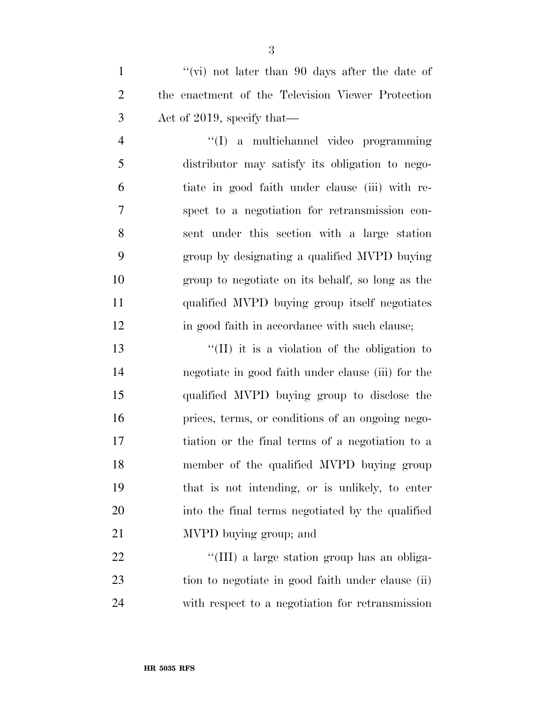1 ''(vi) not later than 90 days after the date of the enactment of the Television Viewer Protection Act of 2019, specify that—

 ''(I) a multichannel video programming distributor may satisfy its obligation to nego- tiate in good faith under clause (iii) with re- spect to a negotiation for retransmission con- sent under this section with a large station group by designating a qualified MVPD buying group to negotiate on its behalf, so long as the qualified MVPD buying group itself negotiates 12 in good faith in accordance with such clause;

13 ''(II) it is a violation of the obligation to negotiate in good faith under clause (iii) for the qualified MVPD buying group to disclose the prices, terms, or conditions of an ongoing nego- tiation or the final terms of a negotiation to a member of the qualified MVPD buying group that is not intending, or is unlikely, to enter into the final terms negotiated by the qualified MVPD buying group; and

22  $\frac{1}{2}$  (III) a large station group has an obliga- tion to negotiate in good faith under clause (ii) with respect to a negotiation for retransmission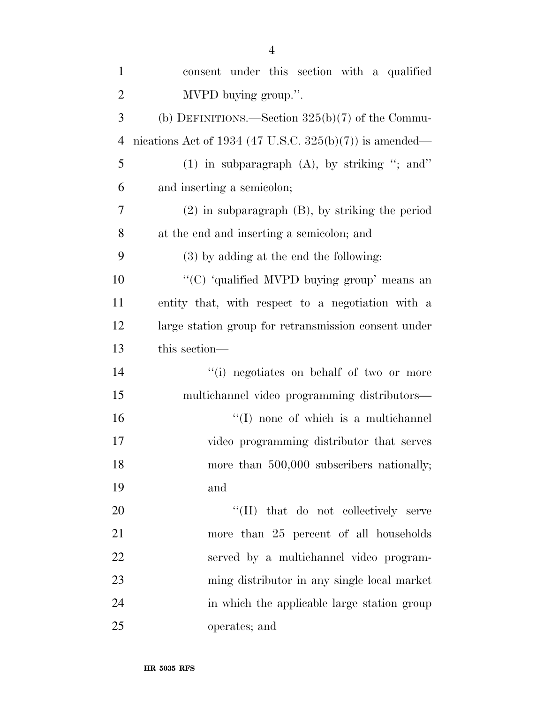| $\mathbf{1}$   | consent under this section with a qualified             |
|----------------|---------------------------------------------------------|
| $\overline{2}$ | MVPD buying group.".                                    |
| 3              | (b) DEFINITIONS.—Section $325(b)(7)$ of the Commu-      |
| $\overline{4}$ | nications Act of 1934 (47 U.S.C. 325(b)(7)) is amended— |
| 5              | $(1)$ in subparagraph $(A)$ , by striking "; and"       |
| 6              | and inserting a semicolon;                              |
| 7              | $(2)$ in subparagraph $(B)$ , by striking the period    |
| 8              | at the end and inserting a semicolon; and               |
| 9              | (3) by adding at the end the following:                 |
| 10             | "(C) 'qualified MVPD buying group' means an             |
| 11             | entity that, with respect to a negotiation with a       |
| 12             | large station group for retransmission consent under    |
| 13             | this section—                                           |
| 14             | "(i) negotiates on behalf of two or more                |
| 15             | multichannel video programming distributors-            |
| 16             | "(I) none of which is a multichannel                    |
| 17             | video programming distributor that serves               |
| 18             | more than 500,000 subscribers nationally;               |
| 19             | and                                                     |
| 20             | "(II) that do not collectively serve                    |
| 21             | more than 25 percent of all households                  |
| 22             | served by a multichannel video program-                 |
| 23             | ming distributor in any single local market             |
| 24             | in which the applicable large station group             |
| 25             | operates; and                                           |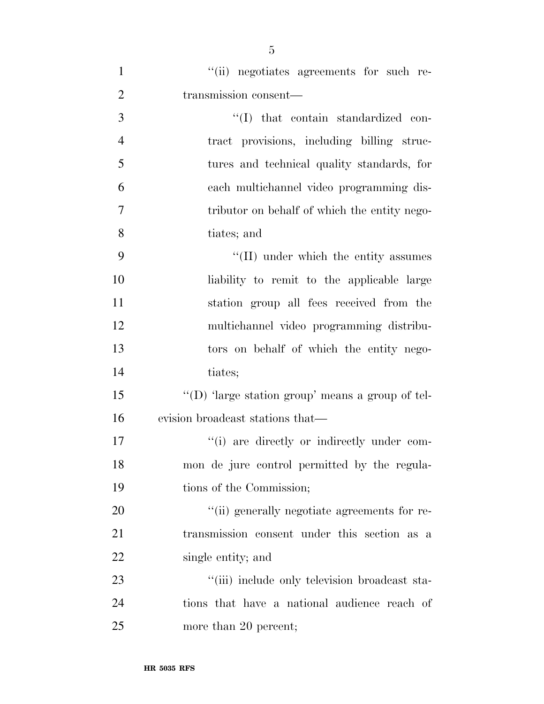| $\mathbf{1}$   | "(ii) negotiates agreements for such re-         |
|----------------|--------------------------------------------------|
| $\overline{2}$ | transmission consent—                            |
| 3              | "(I) that contain standardized con-              |
| $\overline{4}$ | tract provisions, including billing struc-       |
| 5              | tures and technical quality standards, for       |
| 6              | each multichannel video programming dis-         |
| 7              | tributor on behalf of which the entity nego-     |
| 8              | tiates; and                                      |
| 9              | "(II) under which the entity assumes             |
| 10             | liability to remit to the applicable large       |
| 11             | station group all fees received from the         |
| 12             | multichannel video programming distribu-         |
| 13             | tors on behalf of which the entity nego-         |
| 14             | tiates;                                          |
| 15             | "(D) 'large station group' means a group of tel- |
| 16             | evision broadcast stations that—                 |
| 17             | "(i) are directly or indirectly under com-       |
| 18             | mon de jure control permitted by the regula-     |
| 19             | tions of the Commission;                         |
| 20             | "(ii) generally negotiate agreements for re-     |
| 21             | transmission consent under this section as a     |
| 22             | single entity; and                               |
| 23             | "(iii) include only television broadcast sta-    |
| 24             | tions that have a national audience reach of     |
| 25             | more than 20 percent;                            |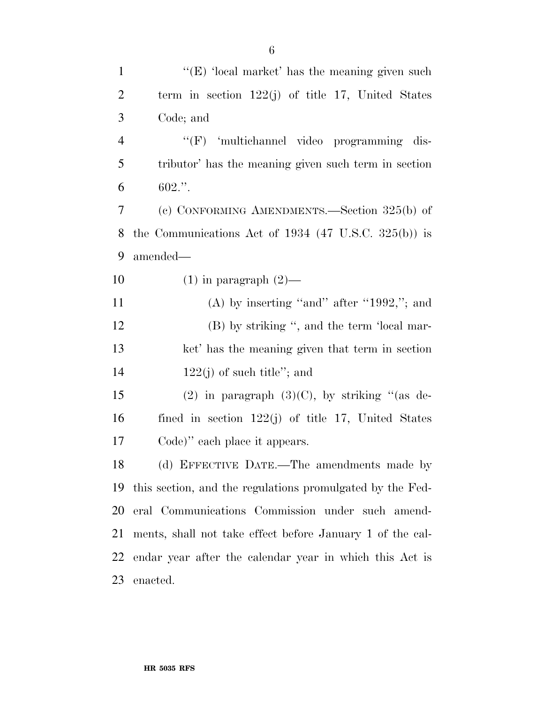| $\mathbf{1}$   | " $(E)$ 'local market' has the meaning given such               |
|----------------|-----------------------------------------------------------------|
| $\overline{2}$ | term in section $122(j)$ of title 17, United States             |
| 3              | Code; and                                                       |
| $\overline{4}$ | "(F) 'multichannel video programming dis-                       |
| 5              | tributor' has the meaning given such term in section            |
| 6              | 602."                                                           |
| 7              | (c) CONFORMING AMENDMENTS.—Section 325(b) of                    |
| 8              | the Communications Act of 1934 $(47 \text{ U.S.C. } 325(b))$ is |
| 9              | amended—                                                        |
| 10             | $(1)$ in paragraph $(2)$ —                                      |
| 11             | (A) by inserting "and" after "1992,"; and                       |
| 12             | (B) by striking ", and the term 'local mar-                     |
| 13             | ket' has the meaning given that term in section                 |
| 14             | $122(j)$ of such title"; and                                    |
| 15             | (2) in paragraph $(3)(C)$ , by striking "(as de-                |
| 16             | fined in section $122(j)$ of title 17, United States            |
| 17             | Code)" each place it appears.                                   |
| 18             | (d) EFFECTIVE DATE.—The amendments made by                      |
| 19             | this section, and the regulations promulgated by the Fed-       |
| 20             | eral Communications Commission under such amend-                |
| 21             | ments, shall not take effect before January 1 of the cal-       |
| 22             | endar year after the calendar year in which this Act is         |
| 23             | enacted.                                                        |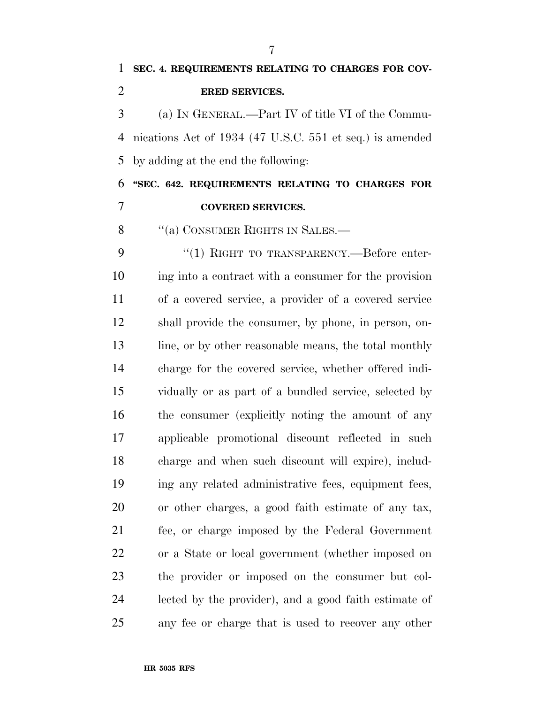(a) IN GENERAL.—Part IV of title VI of the Commu- nications Act of 1934 (47 U.S.C. 551 et seq.) is amended by adding at the end the following:

 **''SEC. 642. REQUIREMENTS RELATING TO CHARGES FOR COVERED SERVICES.** 

8 "(a) CONSUMER RIGHTS IN SALES.—

9 "(1) RIGHT TO TRANSPARENCY.—Before enter- ing into a contract with a consumer for the provision of a covered service, a provider of a covered service shall provide the consumer, by phone, in person, on-13 line, or by other reasonable means, the total monthly charge for the covered service, whether offered indi- vidually or as part of a bundled service, selected by the consumer (explicitly noting the amount of any applicable promotional discount reflected in such charge and when such discount will expire), includ- ing any related administrative fees, equipment fees, or other charges, a good faith estimate of any tax, fee, or charge imposed by the Federal Government or a State or local government (whether imposed on the provider or imposed on the consumer but col- lected by the provider), and a good faith estimate of any fee or charge that is used to recover any other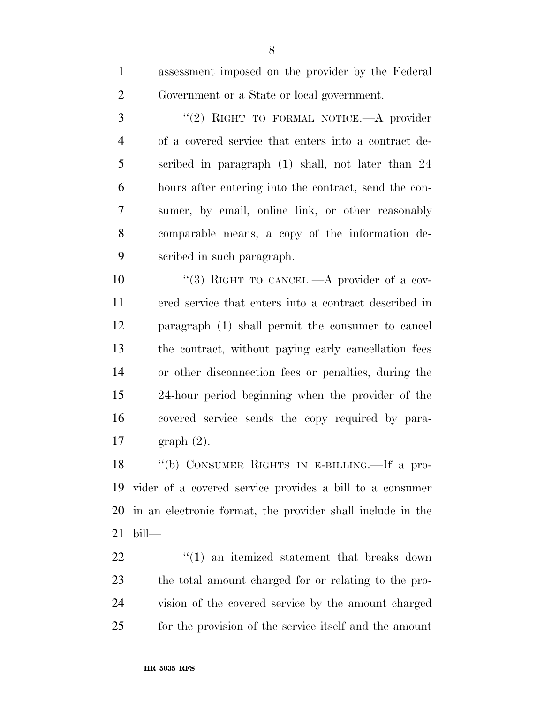assessment imposed on the provider by the Federal

| $\mathbf{I}$   | assessment imposed on the provider by the rederar-   |
|----------------|------------------------------------------------------|
| $\overline{2}$ | Government or a State or local government.           |
| 3              | "(2) RIGHT TO FORMAL NOTICE.—A provider              |
| 4              | of a covered service that enters into a contract de- |
| 5              | scribed in paragraph (1) shall, not later than 24    |
| $\sim$         |                                                      |

 hours after entering into the contract, send the con- sumer, by email, online link, or other reasonably comparable means, a copy of the information de-scribed in such paragraph.

10 "(3) RIGHT TO CANCEL.—A provider of a cov- ered service that enters into a contract described in paragraph (1) shall permit the consumer to cancel the contract, without paying early cancellation fees or other disconnection fees or penalties, during the 24-hour period beginning when the provider of the covered service sends the copy required by para-graph (2).

 ''(b) CONSUMER RIGHTS IN E-BILLING.—If a pro- vider of a covered service provides a bill to a consumer in an electronic format, the provider shall include in the bill—

  $(1)$  an itemized statement that breaks down the total amount charged for or relating to the pro- vision of the covered service by the amount charged for the provision of the service itself and the amount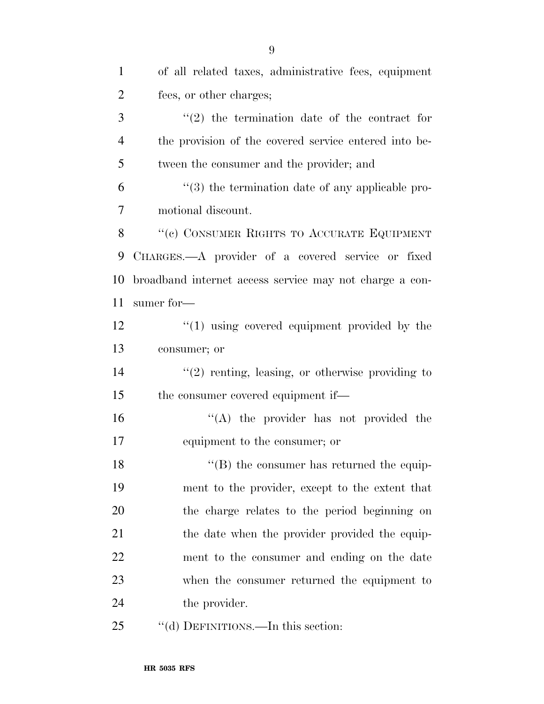| $\mathbf{1}$   | of all related taxes, administrative fees, equipment    |
|----------------|---------------------------------------------------------|
| $\overline{2}$ | fees, or other charges;                                 |
| 3              | $f'(2)$ the termination date of the contract for        |
| $\overline{4}$ | the provision of the covered service entered into be-   |
| 5              | tween the consumer and the provider; and                |
| 6              | $\cdot$ (3) the termination date of any applicable pro- |
| 7              | motional discount.                                      |
| 8              | "(c) CONSUMER RIGHTS TO ACCURATE EQUIPMENT              |
| 9              | CHARGES.—A provider of a covered service or fixed       |
| 10             | broadband internet access service may not charge a con- |
| 11             | sumer for—                                              |
| 12             | $\cdot$ (1) using covered equipment provided by the     |
| 13             | consumer; or                                            |
| 14             | $f'(2)$ renting, leasing, or otherwise providing to     |
| 15             | the consumer covered equipment if—                      |
| 16             | "(A) the provider has not provided the                  |
| 17             | equipment to the consumer; or                           |
| 18             | $\lq\lq$ (B) the consumer has returned the equip-       |
| 19             | ment to the provider, except to the extent that         |
| 20             | the charge relates to the period beginning on           |
| 21             | the date when the provider provided the equip-          |
| 22             | ment to the consumer and ending on the date             |
| 23             | when the consumer returned the equipment to             |
| 24             | the provider.                                           |
| 25             | "(d) DEFINITIONS.—In this section:                      |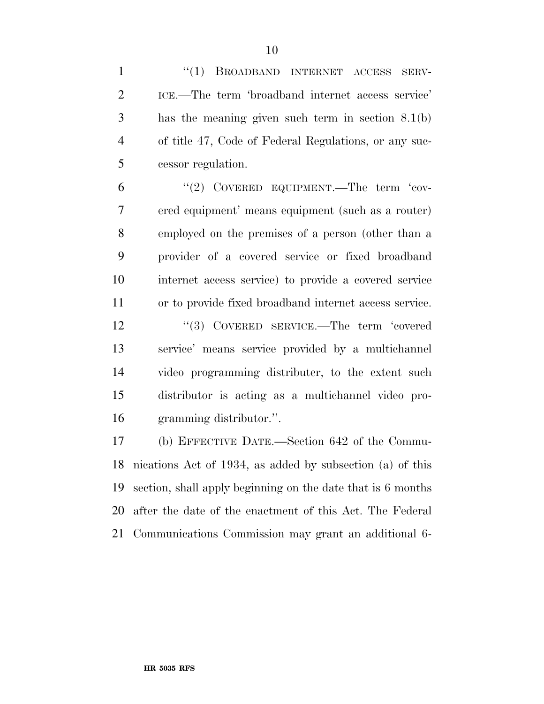1 "(1) BROADBAND INTERNET ACCESS SERV- ICE.—The term 'broadband internet access service' has the meaning given such term in section 8.1(b) of title 47, Code of Federal Regulations, or any suc- cessor regulation. 6 "(2) COVERED EQUIPMENT.—The term 'cov-

 ered equipment' means equipment (such as a router) employed on the premises of a person (other than a provider of a covered service or fixed broadband internet access service) to provide a covered service or to provide fixed broadband internet access service.

12 ''(3) COVERED SERVICE.—The term 'covered service' means service provided by a multichannel video programming distributer, to the extent such distributor is acting as a multichannel video pro-gramming distributor.''.

 (b) EFFECTIVE DATE.—Section 642 of the Commu- nications Act of 1934, as added by subsection (a) of this section, shall apply beginning on the date that is 6 months after the date of the enactment of this Act. The Federal Communications Commission may grant an additional 6